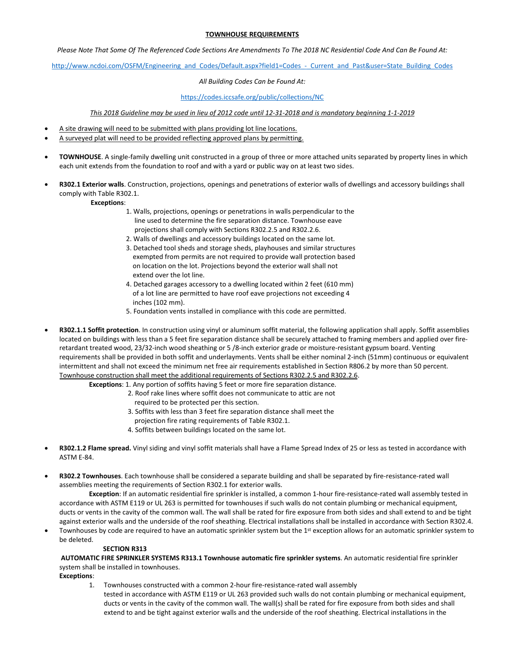# **TOWNHOUSE REQUIREMENTS**

*Please Note That Some Of The Referenced Code Sections Are Amendments To The 2018 NC Residential Code And Can Be Found At:*

[http://www.ncdoi.com/OSFM/Engineering\\_and\\_Codes/Default.aspx?field1=Codes\\_-\\_Current\\_and\\_Past&user=State\\_Building\\_Codes](http://www.ncdoi.com/OSFM/Engineering_and_Codes/Default.aspx?field1=Codes_-_Current_and_Past&user=State_Building_Codes)

## *All Building Codes Can be Found At:*

## <https://codes.iccsafe.org/public/collections/NC>

*This 2018 Guideline may be used in lieu of 2012 code until 12-31-2018 and is mandatory beginning 1-1-2019* 

- A site drawing will need to be submitted with plans providing lot line locations.
- A surveyed plat will need to be provided reflecting approved plans by permitting.
- **TOWNHOUSE**. A single-family dwelling unit constructed in a group of three or more attached units separated by property lines in which each unit extends from the foundation to roof and with a yard or public way on at least two sides.
- **R302.1 Exterior walls**. Construction, projections, openings and penetrations of exterior walls of dwellings and accessory buildings shall comply with Table R302.1.

# **Exceptions**:

- 1. Walls, projections, openings or penetrations in walls perpendicular to the line used to determine the fire separation distance. Townhouse eave projections shall comply with Sections R302.2.5 and R302.2.6.
- 2. Walls of dwellings and accessory buildings located on the same lot.
- 3. Detached tool sheds and storage sheds, playhouses and similar structures exempted from permits are not required to provide wall protection based on location on the lot. Projections beyond the exterior wall shall not extend over the lot line.
- 4. Detached garages accessory to a dwelling located within 2 feet (610 mm) of a lot line are permitted to have roof eave projections not exceeding 4 inches (102 mm).
- 5. Foundation vents installed in compliance with this code are permitted.
- **R302.1.1 Soffit protection**. In construction using vinyl or aluminum soffit material, the following application shall apply. Soffit assemblies located on buildings with less than a 5 feet fire separation distance shall be securely attached to framing members and applied over fireretardant treated wood, 23/32-inch wood sheathing or 5 /8-inch exterior grade or moisture-resistant gypsum board. Venting requirements shall be provided in both soffit and underlayments. Vents shall be either nominal 2-inch (51mm) continuous or equivalent intermittent and shall not exceed the minimum net free air requirements established in Section R806.2 by more than 50 percent. Townhouse construction shall meet the additional requirements of Sections R302.2.5 and R302.2.6.

**Exceptions**: 1. Any portion of soffits having 5 feet or more fire separation distance.

- 2. Roof rake lines where soffit does not communicate to attic are not
	- required to be protected per this section.
	- 3. Soffits with less than 3 feet fire separation distance shall meet the
	- projection fire rating requirements of Table R302.1.
	- 4. Soffits between buildings located on the same lot.
- **R302.1.2 Flame spread.** Vinyl siding and vinyl soffit materials shall have a Flame Spread Index of 25 or less as tested in accordance with ASTM E-84.
- **R302.2 Townhouses**. Each townhouse shall be considered a separate building and shall be separated by fire-resistance-rated wall assemblies meeting the requirements of Section R302.1 for exterior walls.

**Exception**: If an automatic residential fire sprinkler is installed, a common 1-hour fire-resistance-rated wall assembly tested in accordance with ASTM E119 or UL 263 is permitted for townhouses if such walls do not contain plumbing or mechanical equipment, ducts or vents in the cavity of the common wall. The wall shall be rated for fire exposure from both sides and shall extend to and be tight against exterior walls and the underside of the roof sheathing. Electrical installations shall be installed in accordance with Section R302.4.

Townhouses by code are required to have an automatic sprinkler system but the 1<sup>st</sup> exception allows for an automatic sprinkler system to be deleted.

### **SECTION R313**

**AUTOMATIC FIRE SPRINKLER SYSTEMS R313.1 Townhouse automatic fire sprinkler systems**. An automatic residential fire sprinkler system shall be installed in townhouses.

**Exceptions**:

1. Townhouses constructed with a common 2-hour fire-resistance-rated wall assembly tested in accordance with ASTM E119 or UL 263 provided such walls do not contain plumbing or mechanical equipment, ducts or vents in the cavity of the common wall. The wall(s) shall be rated for fire exposure from both sides and shall extend to and be tight against exterior walls and the underside of the roof sheathing. Electrical installations in the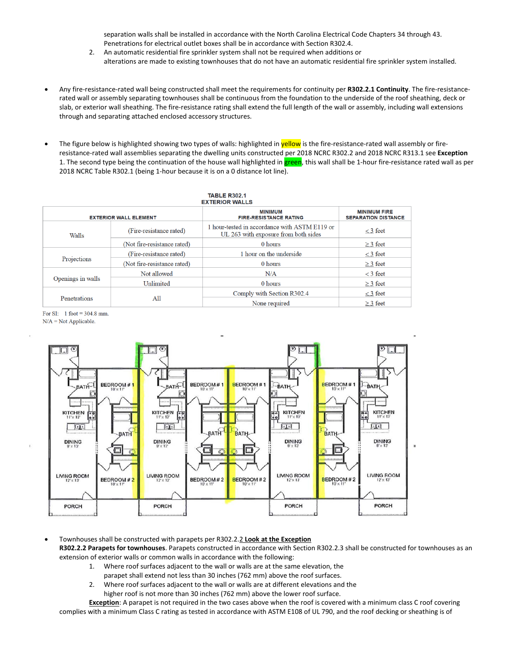separation walls shall be installed in accordance with the North Carolina Electrical Code Chapters 34 through 43. Penetrations for electrical outlet boxes shall be in accordance with Section R302.4.

- 2. An automatic residential fire sprinkler system shall not be required when additions or alterations are made to existing townhouses that do not have an automatic residential fire sprinkler system installed.
- Any fire-resistance-rated wall being constructed shall meet the requirements for continuity per **R302.2.1 Continuity**. The fire-resistancerated wall or assembly separating townhouses shall be continuous from the foundation to the underside of the roof sheathing, deck or slab, or exterior wall sheathing. The fire-resistance rating shall extend the full length of the wall or assembly, including wall extensions through and separating attached enclosed accessory structures.
- The figure below is highlighted showing two types of walls: highlighted in **yellow** is the fire-resistance-rated wall assembly or fireresistance-rated wall assemblies separating the dwelling units constructed per 2018 NCRC R302.2 and 2018 NCRC R313.1 see **Exception** 1. The second type being the continuation of the house wall highlighted in green, this wall shall be 1-hour fire-resistance rated wall as per 2018 NCRC Table R302.1 (being 1-hour because it is on a 0 distance lot line).

| <b>TABLE R302.1</b><br><b>EXTERIOR WALLS</b> |                             |                                                                                       |                                                   |
|----------------------------------------------|-----------------------------|---------------------------------------------------------------------------------------|---------------------------------------------------|
| <b>EXTERIOR WALL ELEMENT</b>                 |                             | <b>MINIMUM</b><br><b>FIRE-RESISTANCE RATING</b>                                       | <b>MINIMUM FIRE</b><br><b>SEPARATION DISTANCE</b> |
| Walls                                        | (Fire-resistance rated)     | 1 hour-tested in accordance with ASTM E119 or<br>UL 263 with exposure from both sides | $<$ 3 feet                                        |
|                                              | (Not fire-resistance rated) | 0 hours                                                                               | $\geq$ 3 feet                                     |
| Projections                                  | (Fire-resistance rated)     | 1 hour on the underside                                                               | $<$ 3 feet                                        |
|                                              | (Not fire-resistance rated) | 0 hours                                                                               | $\geq$ 3 feet                                     |
| Openings in walls                            | Not allowed                 | N/A                                                                                   | $<$ 3 feet                                        |
|                                              | Unlimited                   | 0 hours                                                                               | $\geq$ 3 feet                                     |
| Penetrations                                 | All                         | Comply with Section R302.4                                                            | $<$ 3 feet                                        |
|                                              |                             | None required                                                                         | $\geq$ 3 feet                                     |

For SI:  $1$  foot = 304.8 mm.  $N/A = Not Applied.$ 



• Townhouses shall be constructed with parapets per R302.2.2 **Look at the Exception R302.2.2 Parapets for townhouses**. Parapets constructed in accordance with Section R302.2.3 shall be constructed for townhouses as an extension of exterior walls or common walls in accordance with the following:

- 1. Where roof surfaces adjacent to the wall or walls are at the same elevation, the
- parapet shall extend not less than 30 inches (762 mm) above the roof surfaces.
- 2. Where roof surfaces adjacent to the wall or walls are at different elevations and the higher roof is not more than 30 inches (762 mm) above the lower roof surface.

**Exception**: A parapet is not required in the two cases above when the roof is covered with a minimum class C roof covering complies with a minimum Class C rating as tested in accordance with ASTM E108 of UL 790, and the roof decking or sheathing is of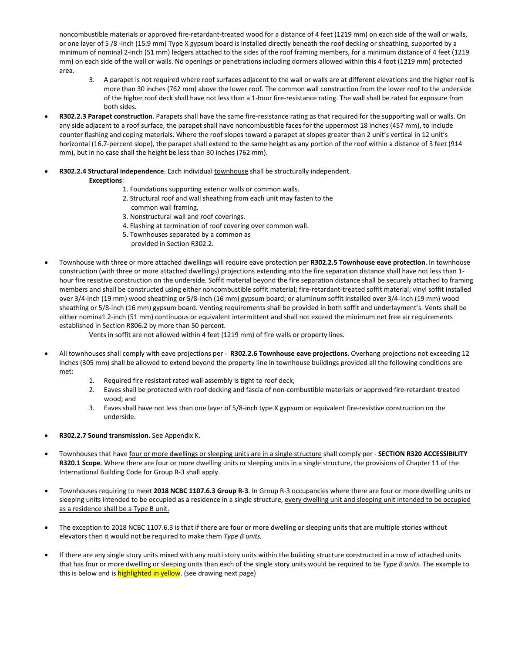noncombustible materials or approved fire-retardant-treated wood for a distance of 4 feet (1219 mm) on each side of the wall or walls, or one layer of 5 /8 -inch (15.9 mm) Type X gypsum board is installed directly beneath the roof decking or sheathing, supported by a minimum of nominal 2-inch (51 mm) ledgers attached to the sides of the roof framing members, for a minimum distance of 4 feet (1219 mm) on each side of the wall or walls. No openings or penetrations including dormers allowed within this 4 foot (1219 mm) protected area.

- 3. A parapet is not required where roof surfaces adjacent to the wall or walls are at different elevations and the higher roof is more than 30 inches (762 mm) above the lower roof. The common wall construction from the lower roof to the underside of the higher roof deck shall have not less than a 1-hour fire-resistance rating. The wall shall be rated for exposure from both sides.
- **R302.2.3 Parapet construction**. Parapets shall have the same fire-resistance rating as that required for the supporting wall or walls. On any side adjacent to a roof surface, the parapet shall have noncombustible faces for the uppermost 18 inches (457 mm), to include counter flashing and coping materials. Where the roof slopes toward a parapet at slopes greater than 2 unit's vertical in 12 unit's horizontal (16.7-percent slope), the parapet shall extend to the same height as any portion of the roof within a distance of 3 feet (914 mm), but in no case shall the height be less than 30 inches (762 mm).
- **R302.2.4 Structural independence**. Each individual townhouse shall be structurally independent. **Exceptions**:
	- 1. Foundations supporting exterior walls or common walls.
	- 2. Structural roof and wall sheathing from each unit may fasten to the common wall framing.
	- 3. Nonstructural wall and roof coverings.
	- 4. Flashing at termination of roof covering over common wall.
	- 5. Townhouses separated by a common as
		- provided in Section R302.2.
- Townhouse with three or more attached dwellings will require eave protection per **R302.2.5 Townhouse eave protection**. In townhouse construction (with three or more attached dwellings) projections extending into the fire separation distance shall have not less than 1 hour fire resistive construction on the underside. Soffit material beyond the fire separation distance shall be securely attached to framing members and shall be constructed using either noncombustible soffit material; fire-retardant-treated soffit material; vinyl soffit installed over 3/4-inch (19 mm) wood sheathing or 5/8-inch (16 mm) gypsum board; or aluminum soffit installed over 3/4-inch (19 mm) wood sheathing or 5/8-inch (16 mm) gypsum board. Venting requirements shall be provided in both soffit and underlayment's. Vents shall be either nomina1 2-inch (51 mm) continuous or equivalent intermittent and shall not exceed the minimum net free air requirements established in Section R806.2 by more than 50 percent.
	- Vents in soffit are not allowed within 4 feet (1219 mm) of fire walls or property lines.
- All townhouses shall comply with eave projections per **R302.2.6 Townhouse eave projections**. Overhang projections not exceeding 12 inches (305 mm) shall be allowed to extend beyond the property line in townhouse buildings provided all the following conditions are met:
	- 1. Required fire resistant rated wall assembly is tight to roof deck;
	- 2. Eaves shall be protected with roof decking and fascia of non-combustible materials or approved fire-retardant-treated wood; and
	- 3. Eaves shall have not less than one layer of 5/8-inch type X gypsum or equivalent fire-resistive construction on the underside.
- **R302.2.7 Sound transmission.** See Appendix K.
- Townhouses that have four or more dwellings or sleeping units are in a single structure shall comply per **SECTION R320 ACCESSIBILITY R320.1 Scope**. Where there are four or more dwelling units or sleeping units in a single structure, the provisions of Chapter 11 of the International Building Code for Group R-3 shall apply.
- Townhouses requiring to meet **2018 NCBC 1107.6.3 Group R-3**. In Group R-3 occupancies where there are four or more dwelling units or sleeping units intended to be occupied as a residence in a single structure, every dwelling unit and sleeping unit intended to be occupied as a residence shall be a Type B unit.
- The exception to 2018 NCBC 1107.6.3 is that if there are four or more dwelling or sleeping units that are multiple stories without elevators then it would not be required to make them *Type B units.*
- If there are any single story units mixed with any multi story units within the building structure constructed in a row of attached units that has four or more dwelling or sleeping units than each of the single story units would be required to be *Type B units*. The example to this is below and is highlighted in yellow. (see drawing next page)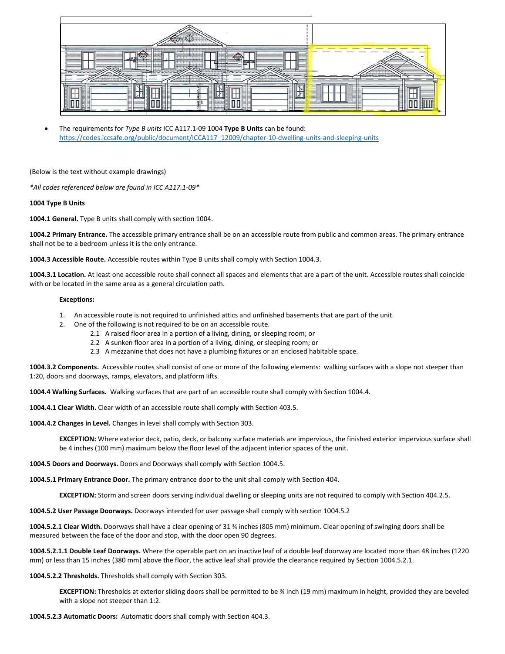

• The requirements for *Type B units* ICC A117.1-09 1004 **Type B Units** can be found: [https://codes.iccsafe.org/public/document/ICCA117\\_12009/chapter-10-dwelling-units-and-sleeping-units](https://codes.iccsafe.org/public/document/ICCA117_12009/chapter-10-dwelling-units-and-sleeping-units) 

(Below is the text without example drawings)

*\*All codes referenced below are found in ICC A117.1-09\**

# **1004 Type B Units**

**1004.1 General.** Type B units shall comply with section 1004.

**1004.2 Primary Entrance.** The accessible primary entrance shall be on an accessible route from public and common areas. The primary entrance shall not be to a bedroom unless it is the only entrance.

**1004.3 Accessible Route.** Accessible routes within Type B units shall comply with Section 1004.3.

**1004.3.1 Location.** At least one accessible route shall connect all spaces and elements that are a part of the unit. Accessible routes shall coincide with or be located in the same area as a general circulation path.

#### **Exceptions:**

- 1. An accessible route is not required to unfinished attics and unfinished basements that are part of the unit.
- 2. One of the following is not required to be on an accessible route.
	- 2.1 A raised floor area in a portion of a living, dining, or sleeping room; or
	- 2.2 A sunken floor area in a portion of a living, dining, or sleeping room; or
	- 2.3 A mezzanine that does not have a plumbing fixtures or an enclosed habitable space.

**1004.3.2 Components.** Accessible routes shall consist of one or more of the following elements: walking surfaces with a slope not steeper than 1:20, doors and doorways, ramps, elevators, and platform lifts.

**1004.4 Walking Surfaces.** Walking surfaces that are part of an accessible route shall comply with Section 1004.4.

**1004.4.1 Clear Width.** Clear width of an accessible route shall comply with Section 403.5.

**1004.4.2 Changes in Level.** Changes in level shall comply with Section 303.

**EXCEPTION:** Where exterior deck, patio, deck, or balcony surface materials are impervious, the finished exterior impervious surface shall be 4 inches (100 mm) maximum below the floor level of the adjacent interior spaces of the unit.

**1004.5 Doors and Doorways.** Doors and Doorways shall comply with Section 1004.5.

**1004.5.1 Primary Entrance Door.** The primary entrance door to the unit shall comply with Section 404.

**EXCEPTION:** Storm and screen doors serving individual dwelling or sleeping units are not required to comply with Section 404.2.5.

**1004.5.2 User Passage Doorways.** Doorways intended for user passage shall comply with section 1004.5.2

**1004.5.2.1 Clear Width.** Doorways shall have a clear opening of 31 ¾ inches (805 mm) minimum. Clear opening of swinging doors shall be measured between the face of the door and stop, with the door open 90 degrees.

**1004.5.2.1.1 Double Leaf Doorways.** Where the operable part on an inactive leaf of a double leaf doorway are located more than 48 inches (1220 mm) or less than 15 inches (380 mm) above the floor, the active leaf shall provide the clearance required by Section 1004.5.2.1.

**1004.5.2.2 Thresholds.** Thresholds shall comply with Section 303.

**EXCEPTION:** Thresholds at exterior sliding doors shall be permitted to be ¾ inch (19 mm) maximum in height, provided they are beveled with a slope not steeper than 1:2.

**1004.5.2.3 Automatic Doors:** Automatic doors shall comply with Section 404.3.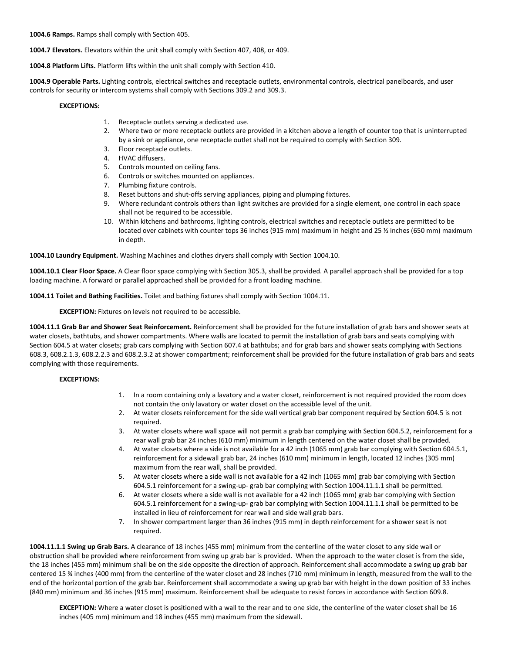**1004.6 Ramps.** Ramps shall comply with Section 405.

**1004.7 Elevators.** Elevators within the unit shall comply with Section 407, 408, or 409.

**1004.8 Platform Lifts.** Platform lifts within the unit shall comply with Section 410.

**1004.9 Operable Parts.** Lighting controls, electrical switches and receptacle outlets, environmental controls, electrical panelboards, and user controls for security or intercom systems shall comply with Sections 309.2 and 309.3.

## **EXCEPTIONS:**

- 1. Receptacle outlets serving a dedicated use.
- 2. Where two or more receptacle outlets are provided in a kitchen above a length of counter top that is uninterrupted by a sink or appliance, one receptacle outlet shall not be required to comply with Section 309.
- 3. Floor receptacle outlets.
- 4. HVAC diffusers.
- 5. Controls mounted on ceiling fans.
- 6. Controls or switches mounted on appliances.
- 7. Plumbing fixture controls.
- 8. Reset buttons and shut-offs serving appliances, piping and plumping fixtures.
- 9. Where redundant controls others than light switches are provided for a single element, one control in each space shall not be required to be accessible.
- 10. Within kitchens and bathrooms, lighting controls, electrical switches and receptacle outlets are permitted to be located over cabinets with counter tops 36 inches (915 mm) maximum in height and 25 ½ inches (650 mm) maximum in depth.

**1004.10 Laundry Equipment.** Washing Machines and clothes dryers shall comply with Section 1004.10.

**1004.10.1 Clear Floor Space.** A Clear floor space complying with Section 305.3, shall be provided. A parallel approach shall be provided for a top loading machine. A forward or parallel approached shall be provided for a front loading machine.

**1004.11 Toilet and Bathing Facilities.** Toilet and bathing fixtures shall comply with Section 1004.11.

**EXCEPTION:** Fixtures on levels not required to be accessible.

**1004.11.1 Grab Bar and Shower Seat Reinforcement.** Reinforcement shall be provided for the future installation of grab bars and shower seats at water closets, bathtubs, and shower compartments. Where walls are located to permit the installation of grab bars and seats complying with Section 604.5 at water closets; grab cars complying with Section 607.4 at bathtubs; and for grab bars and shower seats complying with Sections 608.3, 608.2.1.3, 608.2.2.3 and 608.2.3.2 at shower compartment; reinforcement shall be provided for the future installation of grab bars and seats complying with those requirements.

### **EXCEPTIONS:**

- 1. In a room containing only a lavatory and a water closet, reinforcement is not required provided the room does not contain the only lavatory or water closet on the accessible level of the unit.
- 2. At water closets reinforcement for the side wall vertical grab bar component required by Section 604.5 is not required.
- 3. At water closets where wall space will not permit a grab bar complying with Section 604.5.2, reinforcement for a rear wall grab bar 24 inches (610 mm) minimum in length centered on the water closet shall be provided.
- 4. At water closets where a side is not available for a 42 inch (1065 mm) grab bar complying with Section 604.5.1, reinforcement for a sidewall grab bar, 24 inches (610 mm) minimum in length, located 12 inches (305 mm) maximum from the rear wall, shall be provided.
- 5. At water closets where a side wall is not available for a 42 inch (1065 mm) grab bar complying with Section 604.5.1 reinforcement for a swing-up- grab bar complying with Section 1004.11.1.1 shall be permitted.
- 6. At water closets where a side wall is not available for a 42 inch (1065 mm) grab bar complying with Section 604.5.1 reinforcement for a swing-up- grab bar complying with Section 1004.11.1.1 shall be permitted to be installed in lieu of reinforcement for rear wall and side wall grab bars.
- 7. In shower compartment larger than 36 inches (915 mm) in depth reinforcement for a shower seat is not required.

**1004.11.1.1 Swing up Grab Bars.** A clearance of 18 inches (455 mm) minimum from the centerline of the water closet to any side wall or obstruction shall be provided where reinforcement from swing up grab bar is provided. When the approach to the water closet is from the side, the 18 inches (455 mm) minimum shall be on the side opposite the direction of approach. Reinforcement shall accommodate a swing up grab bar centered 15 ¾ inches (400 mm) from the centerline of the water closet and 28 inches (710 mm) minimum in length, measured from the wall to the end of the horizontal portion of the grab bar. Reinforcement shall accommodate a swing up grab bar with height in the down position of 33 inches (840 mm) minimum and 36 inches (915 mm) maximum. Reinforcement shall be adequate to resist forces in accordance with Section 609.8.

**EXCEPTION:** Where a water closet is positioned with a wall to the rear and to one side, the centerline of the water closet shall be 16 inches (405 mm) minimum and 18 inches (455 mm) maximum from the sidewall.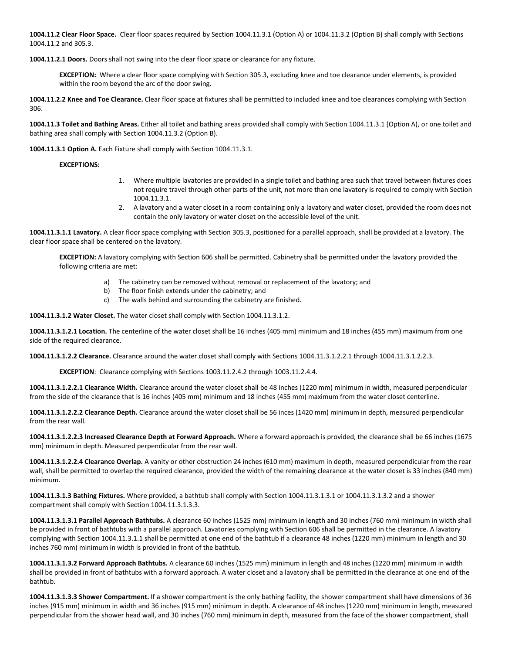**1004.11.2 Clear Floor Space.** Clear floor spaces required by Section 1004.11.3.1 (Option A) or 1004.11.3.2 (Option B) shall comply with Sections 1004.11.2 and 305.3.

**1004.11.2.1 Doors.** Doors shall not swing into the clear floor space or clearance for any fixture.

**EXCEPTION:** Where a clear floor space complying with Section 305.3, excluding knee and toe clearance under elements, is provided within the room beyond the arc of the door swing.

**1004.11.2.2 Knee and Toe Clearance.** Clear floor space at fixtures shall be permitted to included knee and toe clearances complying with Section 306.

**1004.11.3 Toilet and Bathing Areas.** Either all toilet and bathing areas provided shall comply with Section 1004.11.3.1 (Option A), or one toilet and bathing area shall comply with Section 1004.11.3.2 (Option B).

**1004.11.3.1 Option A.** Each Fixture shall comply with Section 1004.11.3.1.

#### **EXCEPTIONS:**

- 1. Where multiple lavatories are provided in a single toilet and bathing area such that travel between fixtures does not require travel through other parts of the unit, not more than one lavatory is required to comply with Section 1004.11.3.1.
- 2. A lavatory and a water closet in a room containing only a lavatory and water closet, provided the room does not contain the only lavatory or water closet on the accessible level of the unit.

**1004.11.3.1.1 Lavatory.** A clear floor space complying with Section 305.3, positioned for a parallel approach, shall be provided at a lavatory. The clear floor space shall be centered on the lavatory.

**EXCEPTION:** A lavatory complying with Section 606 shall be permitted. Cabinetry shall be permitted under the lavatory provided the following criteria are met:

- a) The cabinetry can be removed without removal or replacement of the lavatory; and
- b) The floor finish extends under the cabinetry; and
- c) The walls behind and surrounding the cabinetry are finished.

**1004.11.3.1.2 Water Closet.** The water closet shall comply with Section 1004.11.3.1.2.

**1004.11.3.1.2.1 Location.** The centerline of the water closet shall be 16 inches (405 mm) minimum and 18 inches (455 mm) maximum from one side of the required clearance.

**1004.11.3.1.2.2 Clearance.** Clearance around the water closet shall comply with Sections 1004.11.3.1.2.2.1 through 1004.11.3.1.2.2.3.

**EXCEPTION**: Clearance complying with Sections 1003.11.2.4.2 through 1003.11.2.4.4.

**1004.11.3.1.2.2.1 Clearance Width.** Clearance around the water closet shall be 48 inches (1220 mm) minimum in width, measured perpendicular from the side of the clearance that is 16 inches (405 mm) minimum and 18 inches (455 mm) maximum from the water closet centerline.

**1004.11.3.1.2.2.2 Clearance Depth.** Clearance around the water closet shall be 56 inces (1420 mm) minimum in depth, measured perpendicular from the rear wall.

**1004.11.3.1.2.2.3 Increased Clearance Depth at Forward Approach.** Where a forward approach is provided, the clearance shall be 66 inches (1675 mm) minimum in depth. Measured perpendicular from the rear wall.

**1004.11.3.1.2.2.4 Clearance Overlap.** A vanity or other obstruction 24 inches (610 mm) maximum in depth, measured perpendicular from the rear wall, shall be permitted to overlap the required clearance, provided the width of the remaining clearance at the water closet is 33 inches (840 mm) minimum.

**1004.11.3.1.3 Bathing Fixtures.** Where provided, a bathtub shall comply with Section 1004.11.3.1.3.1 or 1004.11.3.1.3.2 and a shower compartment shall comply with Section 1004.11.3.1.3.3.

**1004.11.3.1.3.1 Parallel Approach Bathtubs.** A clearance 60 inches (1525 mm) minimum in length and 30 inches (760 mm) minimum in width shall be provided in front of bathtubs with a parallel approach. Lavatories complying with Section 606 shall be permitted in the clearance. A lavatory complying with Section 1004.11.3.1.1 shall be permitted at one end of the bathtub if a clearance 48 inches (1220 mm) minimum in length and 30 inches 760 mm) minimum in width is provided in front of the bathtub.

**1004.11.3.1.3.2 Forward Approach Bathtubs.** A clearance 60 inches (1525 mm) minimum in length and 48 inches (1220 mm) minimum in width shall be provided in front of bathtubs with a forward approach. A water closet and a lavatory shall be permitted in the clearance at one end of the bathtub.

**1004.11.3.1.3.3 Shower Compartment.** If a shower compartment is the only bathing facility, the shower compartment shall have dimensions of 36 inches (915 mm) minimum in width and 36 inches (915 mm) minimum in depth. A clearance of 48 inches (1220 mm) minimum in length, measured perpendicular from the shower head wall, and 30 inches (760 mm) minimum in depth, measured from the face of the shower compartment, shall